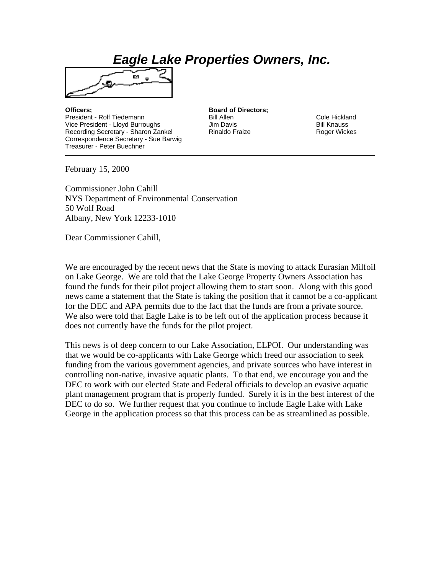## *Eagle Lake Properties Owners, Inc.*



**Officers; Board of Directors;** President - Rolf Tiedemann and Bill Allen Bill Allen Cole Hickland Vice President - Lloyd Burroughs **Bill Knauss** Jim Davis **Bill Knauss** Bill Knauss Recording Secretary - Sharon Zankel Rinaldo Fraize Roger Wickes Correspondence Secretary - Sue Barwig Treasurer - Peter Buechner

February 15, 2000

Commissioner John Cahill NYS Department of Environmental Conservation 50 Wolf Road Albany, New York 12233-1010

Dear Commissioner Cahill,

We are encouraged by the recent news that the State is moving to attack Eurasian Milfoil on Lake George. We are told that the Lake George Property Owners Association has found the funds for their pilot project allowing them to start soon. Along with this good news came a statement that the State is taking the position that it cannot be a co-applicant for the DEC and APA permits due to the fact that the funds are from a private source. We also were told that Eagle Lake is to be left out of the application process because it does not currently have the funds for the pilot project.

This news is of deep concern to our Lake Association, ELPOI. Our understanding was that we would be co-applicants with Lake George which freed our association to seek funding from the various government agencies, and private sources who have interest in controlling non-native, invasive aquatic plants. To that end, we encourage you and the DEC to work with our elected State and Federal officials to develop an evasive aquatic plant management program that is properly funded. Surely it is in the best interest of the DEC to do so. We further request that you continue to include Eagle Lake with Lake George in the application process so that this process can be as streamlined as possible.